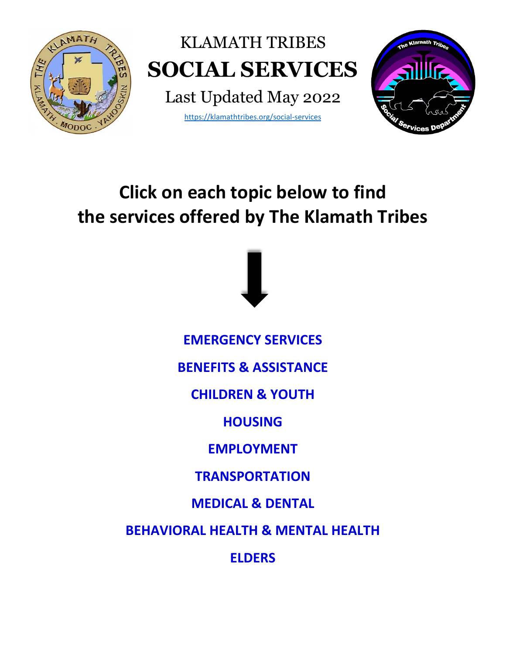

# **Click on each topic below to find the services offered by The Klamath Tribes**



**[EMERGENCY SERVICES](#page-1-0)**

**[BENEFITS & ASSISTANCE](#page-3-0)**

**[CHILDREN & YOUTH](#page-6-0)**

**[HOUSING](#page-9-0)**

**[EMPLOYMENT](#page-11-0)**

**[TRANSPORTATION](#page-13-0)**

**[MEDICAL & DENTAL](#page-14-0)**

**[BEHAVIORAL HEALTH & MENTAL HEALTH](#page-17-0)**

**[ELDERS](#page-18-0)**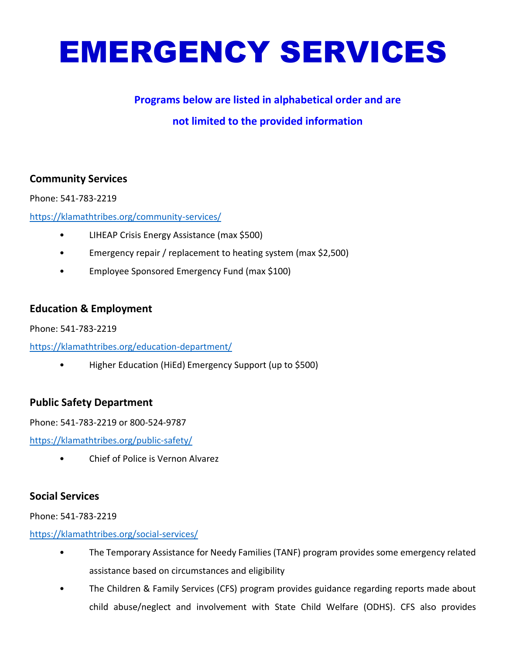# <span id="page-1-0"></span>EMERGENCY SERVICES

### **Programs below are listed in alphabetical order and are**

# **not limited to the provided information**

### **Community Services**

Phone: 541-783-2219

<https://klamathtribes.org/community-services/>

- LIHEAP Crisis Energy Assistance (max \$500)
- Emergency repair / replacement to heating system (max \$2,500)
- Employee Sponsored Emergency Fund (max \$100)

### **Education & Employment**

Phone: 541-783-2219

<https://klamathtribes.org/education-department/>

• Higher Education (HiEd) Emergency Support (up to \$500)

### **Public Safety Department**

Phone: 541-783-2219 or 800-524-9787

<https://klamathtribes.org/public-safety/>

• Chief of Police is Vernon Alvarez

### **Social Services**

Phone: 541-783-2219

<https://klamathtribes.org/social-services/>

- The Temporary Assistance for Needy Families (TANF) program provides some emergency related assistance based on circumstances and eligibility
- The Children & Family Services (CFS) program provides guidance regarding reports made about child abuse/neglect and involvement with State Child Welfare (ODHS). CFS also provides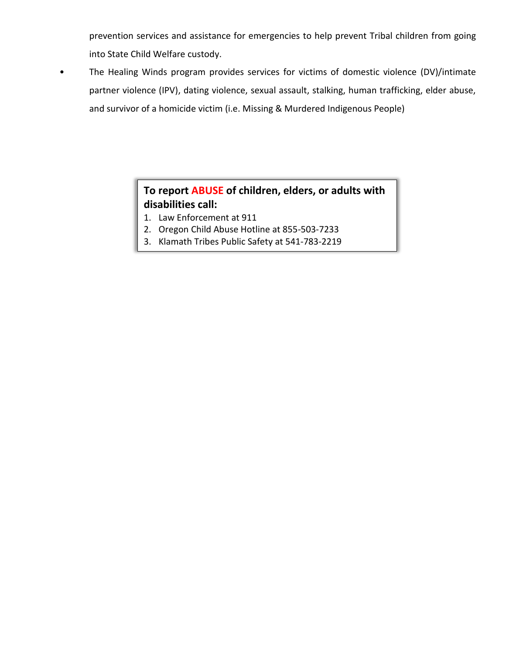prevention services and assistance for emergencies to help prevent Tribal children from going into State Child Welfare custody.

• The Healing Winds program provides services for victims of domestic violence (DV)/intimate partner violence (IPV), dating violence, sexual assault, stalking, human trafficking, elder abuse, and survivor of a homicide victim (i.e. Missing & Murdered Indigenous People)

# **To report ABUSE of children, elders, or adults with disabilities call:**

- 1. Law Enforcement at 911
- 2. Oregon Child Abuse Hotline at 855-503-7233
- 3. Klamath Tribes Public Safety at 541-783-2219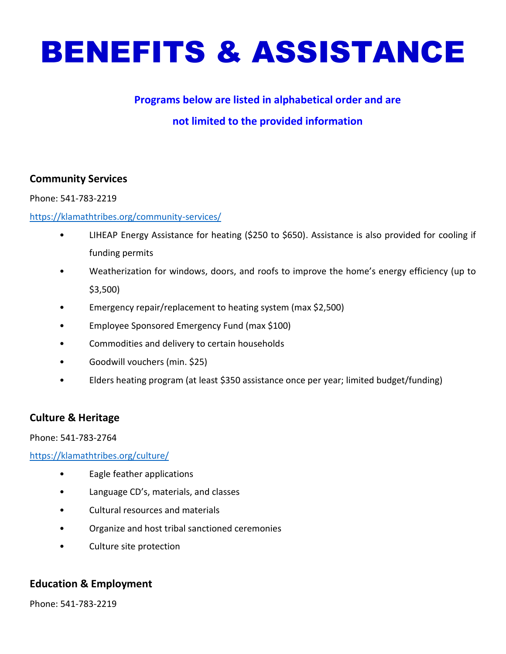<span id="page-3-0"></span>

# **not limited to the provided information**

### **Community Services**

Phone: 541-783-2219

### <https://klamathtribes.org/community-services/>

- LIHEAP Energy Assistance for heating (\$250 to \$650). Assistance is also provided for cooling if funding permits
- Weatherization for windows, doors, and roofs to improve the home's energy efficiency (up to \$3,500)
- Emergency repair/replacement to heating system (max \$2,500)
- Employee Sponsored Emergency Fund (max \$100)
- Commodities and delivery to certain households
- Goodwill vouchers (min. \$25)
- Elders heating program (at least \$350 assistance once per year; limited budget/funding)

### **Culture & Heritage**

Phone: 541-783-2764

<https://klamathtribes.org/culture/>

- Eagle feather applications
- Language CD's, materials, and classes
- Cultural resources and materials
- Organize and host tribal sanctioned ceremonies
- Culture site protection

### **Education & Employment**

Phone: 541-783-2219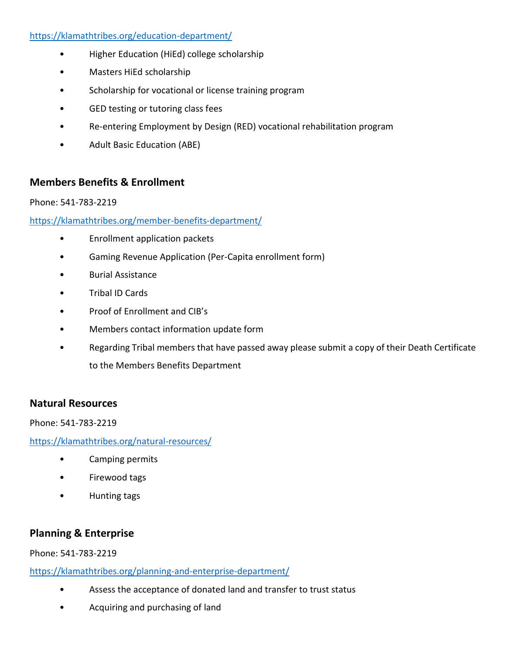### <https://klamathtribes.org/education-department/>

- Higher Education (HiEd) college scholarship
- Masters HiEd scholarship
- Scholarship for vocational or license training program
- GED testing or tutoring class fees
- Re-entering Employment by Design (RED) vocational rehabilitation program
- Adult Basic Education (ABE)

### **Members Benefits & Enrollment**

### Phone: 541-783-2219

### <https://klamathtribes.org/member-benefits-department/>

- Enrollment application packets
- Gaming Revenue Application (Per-Capita enrollment form)
- Burial Assistance
- Tribal ID Cards
- Proof of Enrollment and CIB's
- Members contact information update form
- Regarding Tribal members that have passed away please submit a copy of their Death Certificate to the Members Benefits Department

### **Natural Resources**

Phone: 541-783-2219

<https://klamathtribes.org/natural-resources/>

- Camping permits
- Firewood tags
- Hunting tags

# **Planning & Enterprise**

### Phone: 541-783-2219

<https://klamathtribes.org/planning-and-enterprise-department/>

- Assess the acceptance of donated land and transfer to trust status
- Acquiring and purchasing of land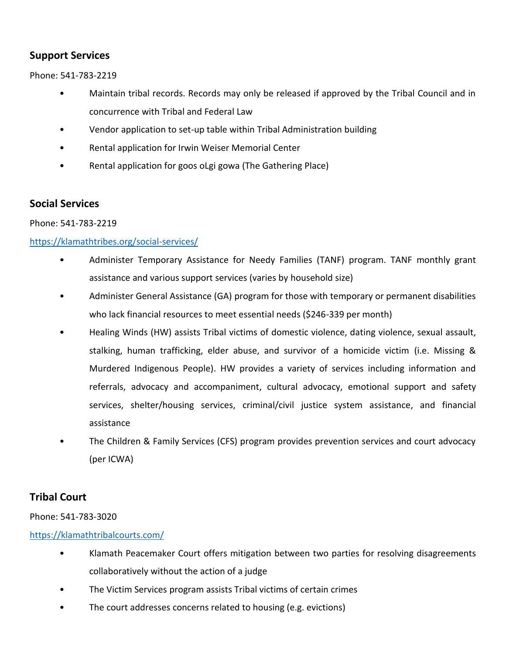# **Support Services**

Phone: 541-783-2219

- Maintain tribal records. Records may only be released if approved by the Tribal Council and in concurrence with Tribal and Federal Law
- Vendor application to set-up table within Tribal Administration building
- Rental application for Irwin Weiser Memorial Center
- Rental application for goos oLgi gowa (The Gathering Place)

### **Social Services**

Phone: 541-783-2219

### <https://klamathtribes.org/social-services/>

- Administer Temporary Assistance for Needy Families (TANF) program. TANF monthly grant assistance and various support services (varies by household size)
- Administer General Assistance (GA) program for those with temporary or permanent disabilities who lack financial resources to meet essential needs (\$246-339 per month)
- Healing Winds (HW) assists Tribal victims of domestic violence, dating violence, sexual assault, stalking, human trafficking, elder abuse, and survivor of a homicide victim (i.e. Missing & Murdered Indigenous People). HW provides a variety of services including information and referrals, advocacy and accompaniment, cultural advocacy, emotional support and safety services, shelter/housing services, criminal/civil justice system assistance, and financial assistance
- The Children & Family Services (CFS) program provides prevention services and court advocacy (per ICWA)

# **Tribal Court**

Phone: 541-783-3020

### <https://klamathtribalcourts.com/>

- Klamath Peacemaker Court offers mitigation between two parties for resolving disagreements collaboratively without the action of a judge
- The Victim Services program assists Tribal victims of certain crimes
- The court addresses concerns related to housing (e.g. evictions)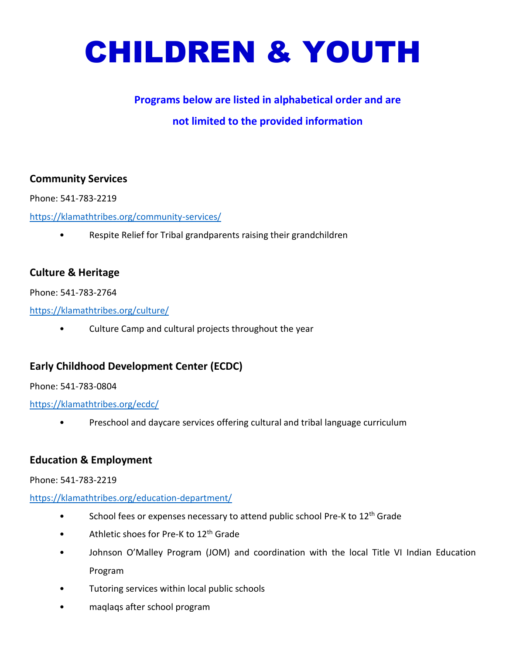<span id="page-6-0"></span>

# **not limited to the provided information**

### **Community Services**

Phone: 541-783-2219

<https://klamathtribes.org/community-services/>

• Respite Relief for Tribal grandparents raising their grandchildren

### **Culture & Heritage**

Phone: 541-783-2764

<https://klamathtribes.org/culture/>

• Culture Camp and cultural projects throughout the year

# **Early Childhood Development Center (ECDC)**

Phone: 541-783-0804

<https://klamathtribes.org/ecdc/>

• Preschool and daycare services offering cultural and tribal language curriculum

### **Education & Employment**

### Phone: 541-783-2219

### <https://klamathtribes.org/education-department/>

- School fees or expenses necessary to attend public school Pre-K to 12<sup>th</sup> Grade
- Athletic shoes for Pre-K to 12<sup>th</sup> Grade
- Johnson O'Malley Program (JOM) and coordination with the local Title VI Indian Education Program
- Tutoring services within local public schools
- maqlaqs after school program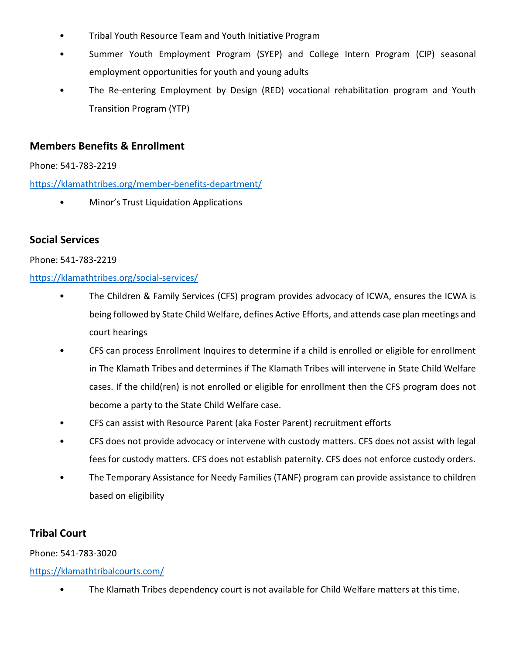- Tribal Youth Resource Team and Youth Initiative Program
- Summer Youth Employment Program (SYEP) and College Intern Program (CIP) seasonal employment opportunities for youth and young adults
- The Re-entering Employment by Design (RED) vocational rehabilitation program and Youth Transition Program (YTP)

### **Members Benefits & Enrollment**

Phone: 541-783-2219

<https://klamathtribes.org/member-benefits-department/>

• Minor's Trust Liquidation Applications

### **Social Services**

### Phone: 541-783-2219

### <https://klamathtribes.org/social-services/>

- The Children & Family Services (CFS) program provides advocacy of ICWA, ensures the ICWA is being followed by State Child Welfare, defines Active Efforts, and attends case plan meetings and court hearings
- CFS can process Enrollment Inquires to determine if a child is enrolled or eligible for enrollment in The Klamath Tribes and determines if The Klamath Tribes will intervene in State Child Welfare cases. If the child(ren) is not enrolled or eligible for enrollment then the CFS program does not become a party to the State Child Welfare case.
- CFS can assist with Resource Parent (aka Foster Parent) recruitment efforts
- CFS does not provide advocacy or intervene with custody matters. CFS does not assist with legal fees for custody matters. CFS does not establish paternity. CFS does not enforce custody orders.
- The Temporary Assistance for Needy Families (TANF) program can provide assistance to children based on eligibility

# **Tribal Court**

### Phone: 541-783-3020

### <https://klamathtribalcourts.com/>

• The Klamath Tribes dependency court is not available for Child Welfare matters at this time.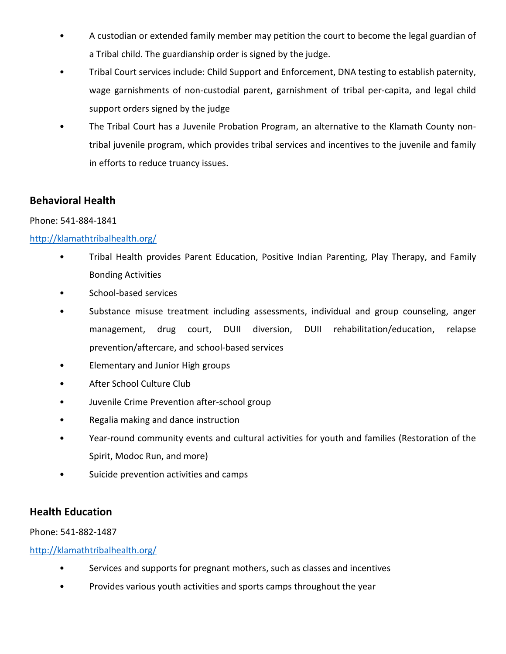- A custodian or extended family member may petition the court to become the legal guardian of a Tribal child. The guardianship order is signed by the judge.
- Tribal Court services include: Child Support and Enforcement, DNA testing to establish paternity, wage garnishments of non-custodial parent, garnishment of tribal per-capita, and legal child support orders signed by the judge
- The Tribal Court has a Juvenile Probation Program, an alternative to the Klamath County nontribal juvenile program, which provides tribal services and incentives to the juvenile and family in efforts to reduce truancy issues.

## **Behavioral Health**

### Phone: 541-884-1841

### <http://klamathtribalhealth.org/>

- Tribal Health provides Parent Education, Positive Indian Parenting, Play Therapy, and Family Bonding Activities
- School-based services
- Substance misuse treatment including assessments, individual and group counseling, anger management, drug court, DUII diversion, DUII rehabilitation/education, relapse prevention/aftercare, and school-based services
- Elementary and Junior High groups
- After School Culture Club
- Juvenile Crime Prevention after-school group
- Regalia making and dance instruction
- Year-round community events and cultural activities for youth and families (Restoration of the Spirit, Modoc Run, and more)
- Suicide prevention activities and camps

### **Health Education**

### Phone: 541-882-1487

- Services and supports for pregnant mothers, such as classes and incentives
- Provides various youth activities and sports camps throughout the year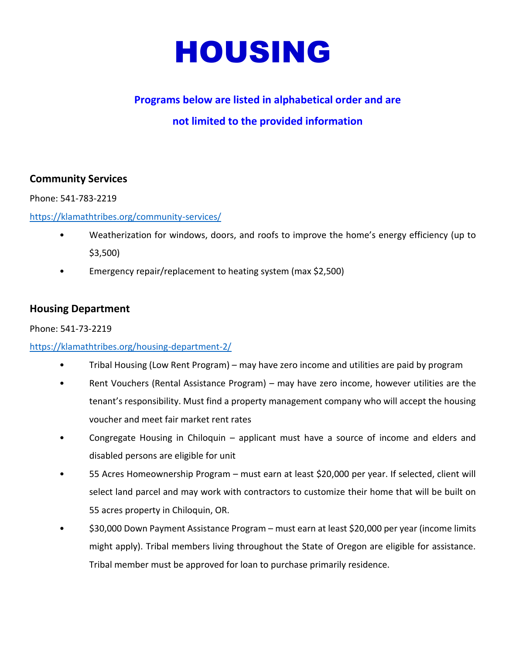<span id="page-9-0"></span>

# **not limited to the provided information**

### **Community Services**

Phone: 541-783-2219

<https://klamathtribes.org/community-services/>

- Weatherization for windows, doors, and roofs to improve the home's energy efficiency (up to \$3,500)
- Emergency repair/replacement to heating system (max \$2,500)

### **Housing Department**

### Phone: 541-73-2219

### <https://klamathtribes.org/housing-department-2/>

- Tribal Housing (Low Rent Program) may have zero income and utilities are paid by program
- Rent Vouchers (Rental Assistance Program) may have zero income, however utilities are the tenant's responsibility. Must find a property management company who will accept the housing voucher and meet fair market rent rates
- Congregate Housing in Chiloquin applicant must have a source of income and elders and disabled persons are eligible for unit
- 55 Acres Homeownership Program must earn at least \$20,000 per year. If selected, client will select land parcel and may work with contractors to customize their home that will be built on 55 acres property in Chiloquin, OR.
- \$30,000 Down Payment Assistance Program must earn at least \$20,000 per year (income limits might apply). Tribal members living throughout the State of Oregon are eligible for assistance. Tribal member must be approved for loan to purchase primarily residence.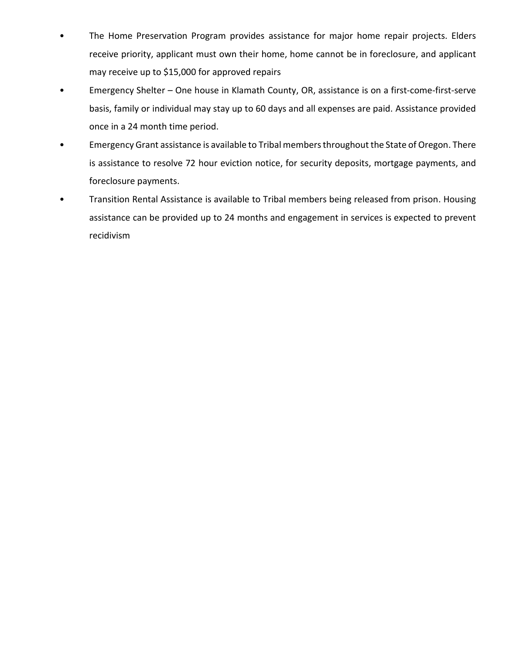- The Home Preservation Program provides assistance for major home repair projects. Elders receive priority, applicant must own their home, home cannot be in foreclosure, and applicant may receive up to \$15,000 for approved repairs
- Emergency Shelter One house in Klamath County, OR, assistance is on a first-come-first-serve basis, family or individual may stay up to 60 days and all expenses are paid. Assistance provided once in a 24 month time period.
- Emergency Grant assistance is available to Tribal members throughout the State of Oregon. There is assistance to resolve 72 hour eviction notice, for security deposits, mortgage payments, and foreclosure payments.
- Transition Rental Assistance is available to Tribal members being released from prison. Housing assistance can be provided up to 24 months and engagement in services is expected to prevent recidivism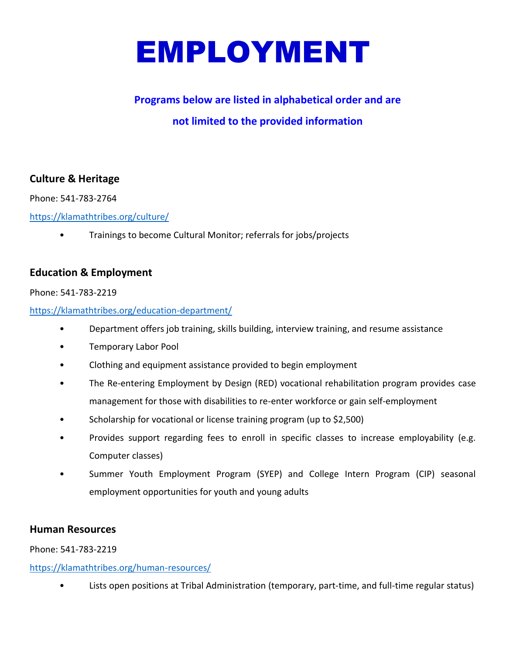<span id="page-11-0"></span>

# **not limited to the provided information**

## **Culture & Heritage**

Phone: 541-783-2764

<https://klamathtribes.org/culture/>

• Trainings to become Cultural Monitor; referrals for jobs/projects

### **Education & Employment**

### Phone: 541-783-2219

### <https://klamathtribes.org/education-department/>

- Department offers job training, skills building, interview training, and resume assistance
- Temporary Labor Pool
- Clothing and equipment assistance provided to begin employment
- The Re-entering Employment by Design (RED) vocational rehabilitation program provides case management for those with disabilities to re-enter workforce or gain self-employment
- Scholarship for vocational or license training program (up to \$2,500)
- Provides support regarding fees to enroll in specific classes to increase employability (e.g. Computer classes)
- Summer Youth Employment Program (SYEP) and College Intern Program (CIP) seasonal employment opportunities for youth and young adults

### **Human Resources**

Phone: 541-783-2219

### <https://klamathtribes.org/human-resources/>

• Lists open positions at Tribal Administration (temporary, part-time, and full-time regular status)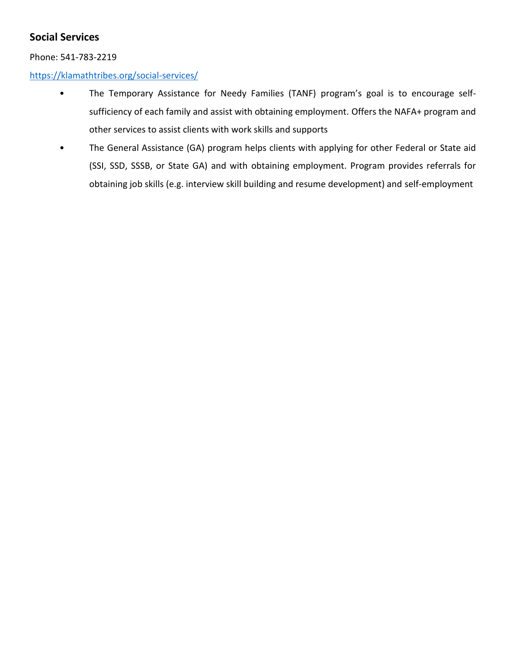# **Social Services**

### Phone: 541-783-2219

### <https://klamathtribes.org/social-services/>

- The Temporary Assistance for Needy Families (TANF) program's goal is to encourage selfsufficiency of each family and assist with obtaining employment. Offers the NAFA+ program and other services to assist clients with work skills and supports
- The General Assistance (GA) program helps clients with applying for other Federal or State aid (SSI, SSD, SSSB, or State GA) and with obtaining employment. Program provides referrals for obtaining job skills (e.g. interview skill building and resume development) and self-employment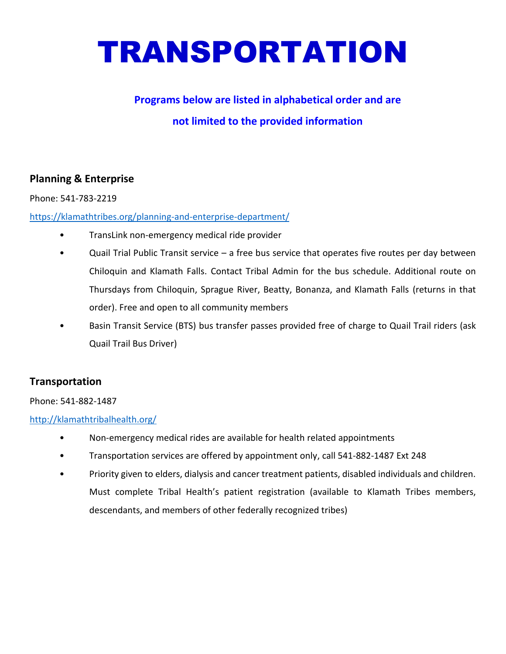# <span id="page-13-0"></span>TRANSPORTATION

# **Programs below are listed in alphabetical order and are not limited to the provided information**

# **Planning & Enterprise**

### Phone: 541-783-2219

### <https://klamathtribes.org/planning-and-enterprise-department/>

- TransLink non-emergency medical ride provider
- Quail Trial Public Transit service a free bus service that operates five routes per day between Chiloquin and Klamath Falls. Contact Tribal Admin for the bus schedule. Additional route on Thursdays from Chiloquin, Sprague River, Beatty, Bonanza, and Klamath Falls (returns in that order). Free and open to all community members
- Basin Transit Service (BTS) bus transfer passes provided free of charge to Quail Trail riders (ask Quail Trail Bus Driver)

# **Transportation**

### Phone: 541-882-1487

- Non-emergency medical rides are available for health related appointments
- Transportation services are offered by appointment only, call 541-882-1487 Ext 248
- Priority given to elders, dialysis and cancer treatment patients, disabled individuals and children. Must complete Tribal Health's patient registration (available to Klamath Tribes members, descendants, and members of other federally recognized tribes)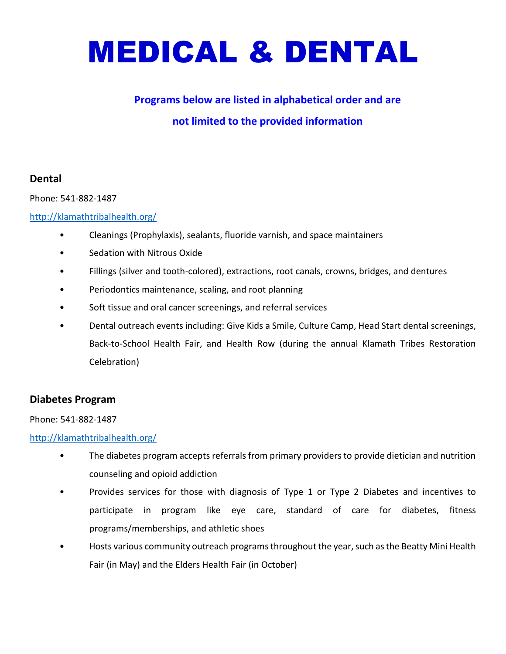# <span id="page-14-0"></span>MEDICAL & DENTAL

# **Programs below are listed in alphabetical order and are**

# **not limited to the provided information**

## **Dental**

Phone: 541-882-1487

### <http://klamathtribalhealth.org/>

- Cleanings (Prophylaxis), sealants, fluoride varnish, and space maintainers
- Sedation with Nitrous Oxide
- Fillings (silver and tooth-colored), extractions, root canals, crowns, bridges, and dentures
- Periodontics maintenance, scaling, and root planning
- Soft tissue and oral cancer screenings, and referral services
- Dental outreach events including: Give Kids a Smile, Culture Camp, Head Start dental screenings, Back-to-School Health Fair, and Health Row (during the annual Klamath Tribes Restoration Celebration)

### **Diabetes Program**

### Phone: 541-882-1487

- The diabetes program accepts referrals from primary providers to provide dietician and nutrition counseling and opioid addiction
- Provides services for those with diagnosis of Type 1 or Type 2 Diabetes and incentives to participate in program like eye care, standard of care for diabetes, fitness programs/memberships, and athletic shoes
- Hosts various community outreach programs throughout the year, such as the Beatty Mini Health Fair (in May) and the Elders Health Fair (in October)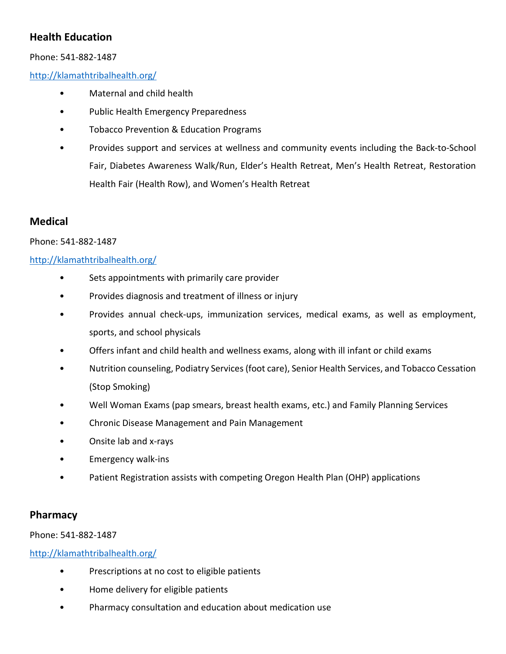# **Health Education**

### Phone: 541-882-1487

<http://klamathtribalhealth.org/>

- Maternal and child health
- Public Health Emergency Preparedness
- Tobacco Prevention & Education Programs
- Provides support and services at wellness and community events including the Back-to-School Fair, Diabetes Awareness Walk/Run, Elder's Health Retreat, Men's Health Retreat, Restoration Health Fair (Health Row), and Women's Health Retreat

# **Medical**

### Phone: 541-882-1487

### <http://klamathtribalhealth.org/>

- Sets appointments with primarily care provider
- Provides diagnosis and treatment of illness or injury
- Provides annual check-ups, immunization services, medical exams, as well as employment, sports, and school physicals
- Offers infant and child health and wellness exams, along with ill infant or child exams
- Nutrition counseling, Podiatry Services (foot care), Senior Health Services, and Tobacco Cessation (Stop Smoking)
- Well Woman Exams (pap smears, breast health exams, etc.) and Family Planning Services
- Chronic Disease Management and Pain Management
- Onsite lab and x-rays
- Emergency walk-ins
- Patient Registration assists with competing Oregon Health Plan (OHP) applications

### **Pharmacy**

### Phone: 541-882-1487

- Prescriptions at no cost to eligible patients
- Home delivery for eligible patients
- Pharmacy consultation and education about medication use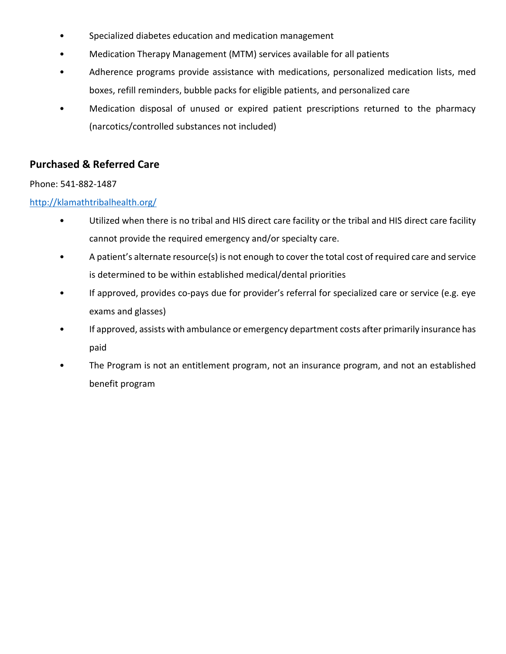- Specialized diabetes education and medication management
- Medication Therapy Management (MTM) services available for all patients
- Adherence programs provide assistance with medications, personalized medication lists, med boxes, refill reminders, bubble packs for eligible patients, and personalized care
- Medication disposal of unused or expired patient prescriptions returned to the pharmacy (narcotics/controlled substances not included)

# **Purchased & Referred Care**

### Phone: 541-882-1487

- Utilized when there is no tribal and HIS direct care facility or the tribal and HIS direct care facility cannot provide the required emergency and/or specialty care.
- A patient's alternate resource(s) is not enough to cover the total cost of required care and service is determined to be within established medical/dental priorities
- If approved, provides co-pays due for provider's referral for specialized care or service (e.g. eye exams and glasses)
- If approved, assists with ambulance or emergency department costs after primarily insurance has paid
- The Program is not an entitlement program, not an insurance program, and not an established benefit program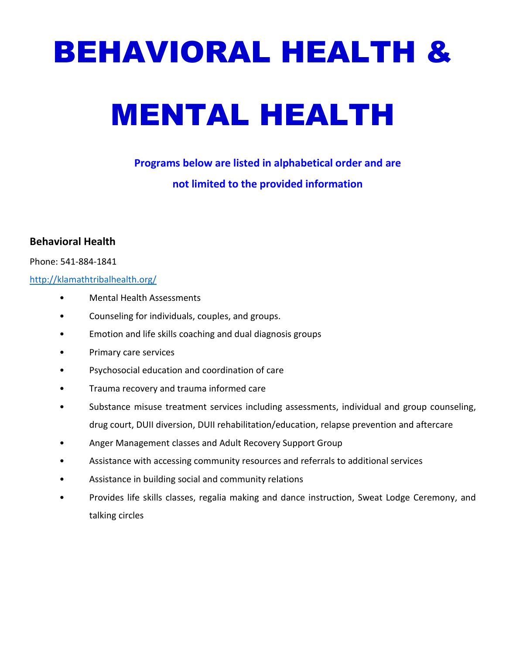# <span id="page-17-0"></span>BEHAVIORAL HEALTH &

# MENTAL HEALTH

**Programs below are listed in alphabetical order and are not limited to the provided information**

# **Behavioral Health**

### Phone: 541-884-1841

- Mental Health Assessments
- Counseling for individuals, couples, and groups.
- Emotion and life skills coaching and dual diagnosis groups
- Primary care services
- Psychosocial education and coordination of care
- Trauma recovery and trauma informed care
- Substance misuse treatment services including assessments, individual and group counseling, drug court, DUII diversion, DUII rehabilitation/education, relapse prevention and aftercare
- Anger Management classes and Adult Recovery Support Group
- Assistance with accessing community resources and referrals to additional services
- Assistance in building social and community relations
- Provides life skills classes, regalia making and dance instruction, Sweat Lodge Ceremony, and talking circles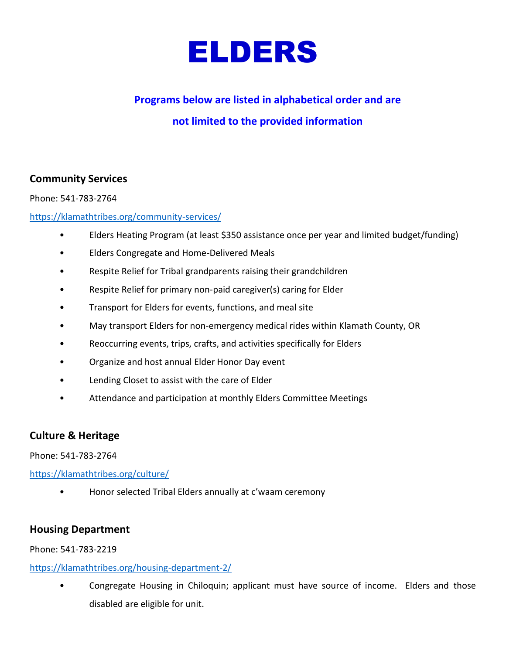

# <span id="page-18-0"></span>**Programs below are listed in alphabetical order and are not limited to the provided information**

### **Community Services**

Phone: 541-783-2764

### <https://klamathtribes.org/community-services/>

- Elders Heating Program (at least \$350 assistance once per year and limited budget/funding)
- Elders Congregate and Home-Delivered Meals
- Respite Relief for Tribal grandparents raising their grandchildren
- Respite Relief for primary non-paid caregiver(s) caring for Elder
- Transport for Elders for events, functions, and meal site
- May transport Elders for non-emergency medical rides within Klamath County, OR
- Reoccurring events, trips, crafts, and activities specifically for Elders
- Organize and host annual Elder Honor Day event
- Lending Closet to assist with the care of Elder
- Attendance and participation at monthly Elders Committee Meetings

### **Culture & Heritage**

Phone: 541-783-2764

<https://klamathtribes.org/culture/>

• Honor selected Tribal Elders annually at c'waam ceremony

### **Housing Department**

Phone: 541-783-2219

### <https://klamathtribes.org/housing-department-2/>

• Congregate Housing in Chiloquin; applicant must have source of income. Elders and those disabled are eligible for unit.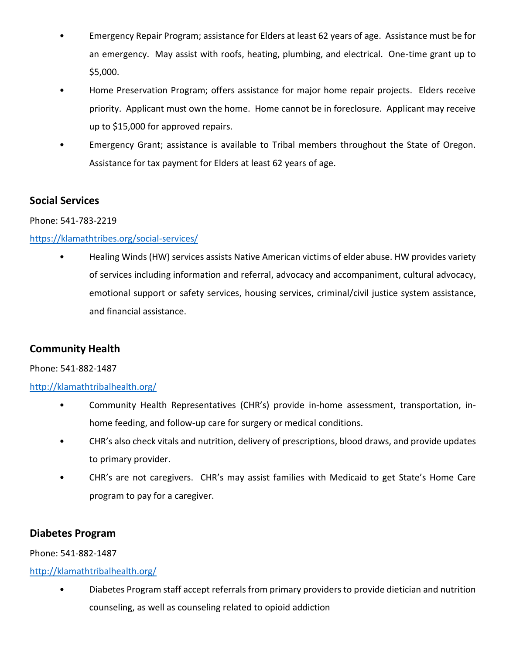- Emergency Repair Program; assistance for Elders at least 62 years of age. Assistance must be for an emergency. May assist with roofs, heating, plumbing, and electrical. One-time grant up to \$5,000.
- Home Preservation Program; offers assistance for major home repair projects. Elders receive priority. Applicant must own the home. Home cannot be in foreclosure. Applicant may receive up to \$15,000 for approved repairs.
- Emergency Grant; assistance is available to Tribal members throughout the State of Oregon. Assistance for tax payment for Elders at least 62 years of age.

### **Social Services**

Phone: 541-783-2219

### <https://klamathtribes.org/social-services/>

• Healing Winds (HW) services assists Native American victims of elder abuse. HW provides variety of services including information and referral, advocacy and accompaniment, cultural advocacy, emotional support or safety services, housing services, criminal/civil justice system assistance, and financial assistance.

# **Community Health**

### Phone: 541-882-1487

### <http://klamathtribalhealth.org/>

- Community Health Representatives (CHR's) provide in-home assessment, transportation, inhome feeding, and follow-up care for surgery or medical conditions.
- CHR's also check vitals and nutrition, delivery of prescriptions, blood draws, and provide updates to primary provider.
- CHR's are not caregivers. CHR's may assist families with Medicaid to get State's Home Care program to pay for a caregiver.

# **Diabetes Program**

### Phone: 541-882-1487

### <http://klamathtribalhealth.org/>

• Diabetes Program staff accept referrals from primary providers to provide dietician and nutrition counseling, as well as counseling related to opioid addiction